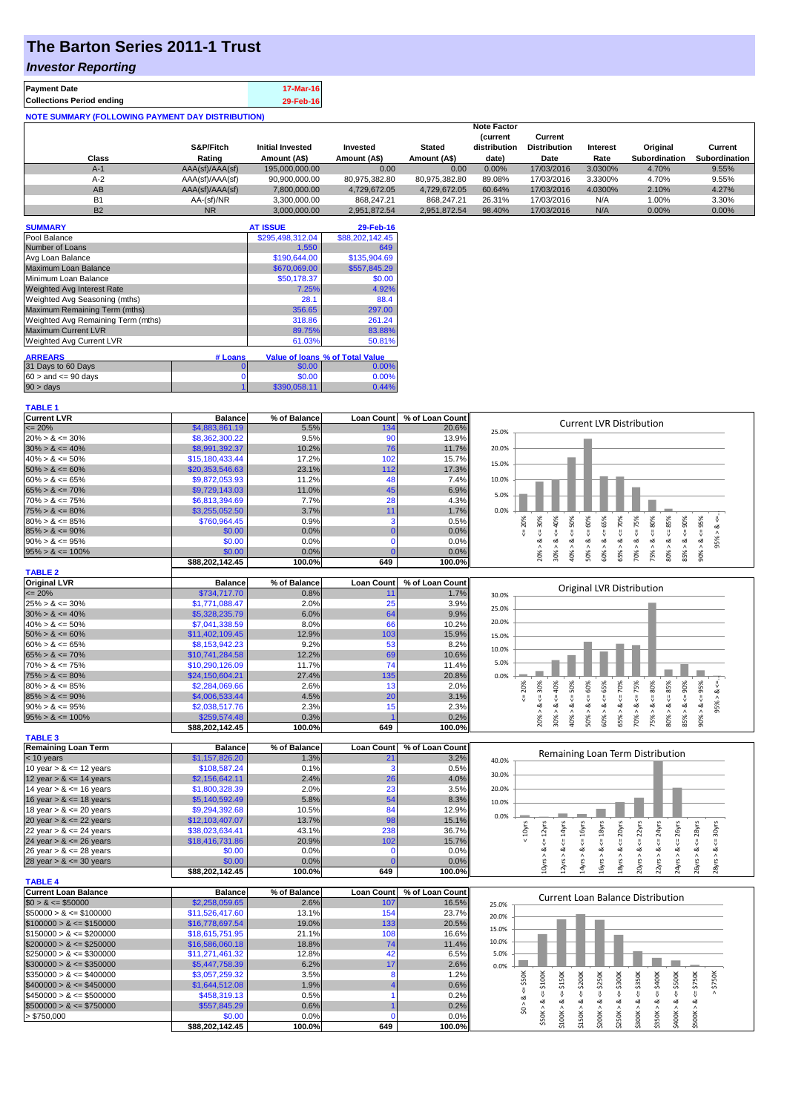## **The Barton Series 2011-1 Trust**

## *Investor Reporting*

| <b>Payment Date</b><br><b>Collections Period ending</b>  | 17-Mar-16 |
|----------------------------------------------------------|-----------|
| <b>NOTE SUMMARY (FOLLOWING PAYMENT DAY DISTRIBUTION)</b> | 29-Feb-16 |

| Class     | S&P/Fitch<br>Rating | <b>Initial Invested</b><br>Amount (A\$) | Invested<br>Amount (A\$) | <b>Stated</b><br>Amount (A\$) | <b>Note Factor</b><br><b>Current</b><br>distribution<br>date) | Current<br><b>Distribution</b><br>Date | Interest<br>Rate | Original<br><b>Subordination</b> | Current<br><b>Subordination</b> |
|-----------|---------------------|-----------------------------------------|--------------------------|-------------------------------|---------------------------------------------------------------|----------------------------------------|------------------|----------------------------------|---------------------------------|
| $A-1$     | AAA(sf)/AAA(sf)     | 195,000,000,00                          | 0.00                     | 0.00                          | 0.00%                                                         | 17/03/2016                             | 3.0300%          | 4.70%                            | 9.55%                           |
| $A-2$     | AAA(sf)/AAA(sf)     | 90,900,000.00                           | 80.975.382.80            | 80.975.382.80                 | 89.08%                                                        | 17/03/2016                             | 3.3300%          | 4.70%                            | 9.55%                           |
| AB        | AAA(sf)/AAA(sf)     | 7,800,000.00                            | 4.729.672.05             | 4.729.672.05                  | 60.64%                                                        | 17/03/2016                             | 4.0300%          | 2.10%                            | 4.27%                           |
| <b>B1</b> | AA-(sf)/NR          | 3.300.000.00                            | 868.247.21               | 868.247.21                    | 26.31%                                                        | 17/03/2016                             | N/A              | 1.00%                            | 3.30%                           |
| <b>B2</b> | <b>NR</b>           | 3.000.000.00                            | 2.951.872.54             | 2.951.872.54                  | 98.40%                                                        | 17/03/2016                             | N/A              | 0.00%                            | $0.00\%$                        |

| <b>SUMMARY</b>                     |         | <b>AT ISSUE</b>  | 29-Feb-16                       |
|------------------------------------|---------|------------------|---------------------------------|
| Pool Balance                       |         | \$295,498,312.04 | \$88,202,142.45                 |
| Number of Loans                    |         | 1.550            | 649                             |
| Avg Loan Balance                   |         | \$190,644.00     | \$135,904.69                    |
| Maximum Loan Balance               |         | \$670,069.00     | \$557,845.29                    |
| Minimum Loan Balance               |         | \$50,178.37      | \$0.00                          |
| <b>Weighted Avg Interest Rate</b>  |         | 7.25%            | 4.92%                           |
| Weighted Avg Seasoning (mths)      |         | 28.1             | 88.4                            |
| Maximum Remaining Term (mths)      |         | 356.65           | 297.00                          |
| Weighted Avg Remaining Term (mths) |         | 318.86           | 261.24                          |
| <b>Maximum Current LVR</b>         |         | 89.75%           | 83.88%                          |
| Weighted Avg Current LVR           |         | 61.03%           | 50.81%                          |
|                                    |         |                  |                                 |
| <b>ARREARS</b>                     | # Loans |                  | Value of Ioans % of Total Value |
| 31 Days to 60 Days                 | 0       | \$0.00           | 0.00%                           |
| $60 >$ and $\leq 90$ days          | 0       | \$0.00           | 0.00%                           |
| $90 > \text{days}$                 |         | \$390.058.11     | 0.44%                           |

| <b>Current LVR</b>   | <b>Balance</b>  | % of Balance | <b>Loan Count</b> | % of Loan Count |       |   |      |   | <b>Current LVR Distribution</b> |   |   |    |   |  |
|----------------------|-----------------|--------------|-------------------|-----------------|-------|---|------|---|---------------------------------|---|---|----|---|--|
| $\leq$ 20%           | \$4,883,861.19  | 5.5%         | 134               | 20.6%           | 25.0% |   |      |   |                                 |   |   |    |   |  |
| $20\% > 8 \le 30\%$  | \$8,362,300.22  | 9.5%         | 90                | 13.9%           |       |   |      |   |                                 |   |   |    |   |  |
| $30\% > 8 \le 40\%$  | \$8,991,392.37  | 10.2%        | 76                | 11.7%           | 20.0% |   |      |   |                                 |   |   |    |   |  |
| $40\% > 8 \le 50\%$  | \$15,180,433.44 | 17.2%        | 102               | 15.7%           | 15.0% |   |      |   |                                 |   |   |    |   |  |
| $50\% > 8 \le 60\%$  | \$20,353,546.63 | 23.1%        | 112               | 17.3%           |       |   |      |   |                                 |   |   |    |   |  |
| $60\% > 8 \le 65\%$  | \$9.872.053.93  | 11.2%        |                   | 7.4%            | 10.0% |   |      |   |                                 |   |   |    |   |  |
| $65\% > 8 \le 70\%$  | \$9,729,143.03  | 11.0%        | 45                | 6.9%            | 5.0%  |   |      |   |                                 |   |   |    |   |  |
| $70\% > 8 \le 75\%$  | \$6,813,394.69  | 7.7%         | 28                | 4.3%            |       |   |      |   |                                 |   |   |    |   |  |
| $75\% > 8 \le 80\%$  | \$3,255,052.50  | 3.7%         |                   | 1.7%            | 0.0%  |   |      |   |                                 |   |   |    |   |  |
| $80\% > 8 \le 85\%$  | \$760.964.45    | 0.9%         |                   | 0.5%            |       |   |      |   | ĝ                               |   |   |    | 옸 |  |
| $85\% > 8 \le 90\%$  | \$0.00          | $0.0\%$      |                   | 0.0%            |       |   |      |   |                                 |   |   |    |   |  |
| $90\% > 8 \le 95\%$  | \$0.00          | 0.0%         |                   | 0.0%            |       |   |      |   |                                 |   |   |    |   |  |
| $95\% > 8 \le 100\%$ | \$0.00          | $0.0\%$      |                   | 0.0%            |       |   | క్లి | ŝ | ∘                               | ĝ | ∘ |    | å |  |
|                      | \$88.202.142.45 | 100.0%       | 649               | 100.0%          |       | g |      |   | Ř                               |   |   | 53 |   |  |

| <b>TABLE 2</b>       |                     |              |                   |                 |       |     |          |   |   |                           |   |     |           |     |     |   |  |
|----------------------|---------------------|--------------|-------------------|-----------------|-------|-----|----------|---|---|---------------------------|---|-----|-----------|-----|-----|---|--|
| <b>Original LVR</b>  | <b>Balance</b>      | % of Balance | <b>Loan Count</b> | % of Loan Count |       |     |          |   |   |                           |   |     |           |     |     |   |  |
| $\leq$ 20%           | \$734,717,70        | 0.8%         |                   | 1.7%            | 30.0% |     |          |   |   | Original LVR Distribution |   |     |           |     |     |   |  |
| $25\% > 8 \le 30\%$  | \$1,771,088.47      | 2.0%         | 25                | 3.9%            | 25.0% |     |          |   |   |                           |   |     |           |     |     |   |  |
| $30\% > 8 \le 40\%$  | \$5,328,235,79      | 6.0%         | 64                | 9.9%            |       |     |          |   |   |                           |   |     |           |     |     |   |  |
| $40\% > 8 \le 50\%$  | \$7,041,338.59      | 8.0%         | 66                | 10.2%           | 20.0% |     |          |   |   |                           |   |     |           |     |     |   |  |
| $50\% > 8 \le 60\%$  | \$11.402.109.45     | 12.9%        | 103               | 15.9%           | 15.0% |     |          |   |   |                           |   |     |           |     |     |   |  |
| $60\% > 8 \le 65\%$  | \$8,153,942.23      | 9.2%         | 53                | 8.2%            | 10.0% |     |          |   |   |                           |   |     |           |     |     |   |  |
| $65\% > 8 \le 70\%$  | \$10.741.284.58     | 12.2%        | 69                | $10.6\%$        |       |     |          |   |   |                           |   |     |           |     |     |   |  |
| $70\% > 8 \le 75\%$  | \$10,290,126.09     | 11.7%        | 74                | 11.4%           | 5.0%  |     |          |   |   |                           |   |     |           |     |     |   |  |
| $75\% > 8 \le 80\%$  | \$24,150,604,21     | 27.4%        | 135               | 20.8%           | 0.0%  |     |          |   |   |                           |   |     |           |     |     |   |  |
| $80\% > 8 \le 85\%$  | \$2,284,069.66      | 2.6%         |                   | 2.0%            |       | 20% | 30%<br>ĝ | ε | š | ŭn.                       | ĝ | 75% | 8O%       | 85% | 90% | ≫ |  |
| $85\% > 8 \le 90\%$  | \$4,006,533,44      | 4.5%         | 20                | 3.1%            |       |     |          |   |   |                           |   |     |           |     |     |   |  |
| $90\% > 8 \le 95\%$  | \$2,038,517.76      | 2.3%         |                   | 2.3%            |       |     | ಯ        |   |   |                           |   | ∾   | ∞         | ∝   |     | ∝ |  |
| $95\% > 8 \le 100\%$ | \$259,574.48        | 0.3%         |                   | 0.2%            |       |     | ĝ        |   |   | ∽                         |   | දි  | <u>က်</u> |     |     |   |  |
|                      | <b>COO 20244245</b> | 400.001      | 0.40              | 400.001         |       |     | Š        |   |   |                           |   |     | ~         | 80  | ŝ5  |   |  |

| $00707$ $-7 - 10070$       | <b>PLUU, UIT. TU</b> | $\sim$ . $\sim$ $\prime$ |                   | $\mathsf{v}.\mathsf{v}$ |       |   |     | ਨੂੰ |     |               |   |                                  |
|----------------------------|----------------------|--------------------------|-------------------|-------------------------|-------|---|-----|-----|-----|---------------|---|----------------------------------|
|                            | \$88,202,142.45      | 100.0%                   | 649               | $100.0\%$               |       | ް | ន្ត |     | ន្ត | ន្ល           | ğ | š                                |
| <b>TABLE 3</b>             |                      |                          |                   |                         |       |   |     |     |     |               |   |                                  |
| <b>Remaining Loan Term</b> | <b>Balance</b>       | % of Balance             | <b>Loan Count</b> | % of Loan Count         |       |   |     |     |     |               |   | Remaining Loan Term Distribution |
| $<$ 10 years               | \$1,157,826.20       | 1.3%                     |                   | 3.2%                    | 40.0% |   |     |     |     |               |   |                                  |
| 10 year $> 8 \le 12$ years | \$108,587.24         | 0.1%                     |                   | 0.5%                    | 30.0% |   |     |     |     |               |   |                                  |
| 12 year $> 8 \le 14$ years | \$2,156,642.11       | 2.4%                     | 26                | 4.0%                    |       |   |     |     |     |               |   |                                  |
| 14 year $> 8 \le 16$ years | \$1,800,328,39       | 2.0%                     | 23                | 3.5%                    | 20.0% |   |     |     |     |               |   |                                  |
| 16 year $> 8 \le 18$ years | \$5,140,592.49       | 5.8%                     | 54                | 8.3%                    | 10.0% |   |     |     |     |               |   |                                  |
| 18 year $> 8 \le 20$ years | \$9,294,392.68       | 10.5%                    | 84                | 12.9%                   |       |   |     |     |     |               |   |                                  |
| 20 year $> 8 \le 22$ years | \$12,103,407.07      | 13.7%                    | 98                | 15.1%                   | 0.0%  |   |     |     |     |               |   |                                  |
| 22 year $> 8 \le 24$ years | \$38,023,634.41      | 43.1%                    | 238               | 36.7%                   |       | Ñ |     |     | డ   | $\frac{5}{8}$ |   |                                  |
| 24 year $> 8 \le 26$ years | \$18,416,731.86      | 20.9%                    | 102               | 15.7%                   |       |   |     |     |     |               |   |                                  |
| 26 year $> 8 \le 28$ years | \$0.00               | 0.0%                     |                   | 0.0%                    |       |   |     |     |     |               |   |                                  |
| 28 year $> 8 \le 30$ years | \$0.00               | 0.0%                     |                   | 0.0%                    |       |   |     |     |     |               |   |                                  |
|                            | \$88.202.142.45      | 100.0%                   | 649               | 100.0%                  |       |   |     |     |     |               |   |                                  |

| <b>TABLE 4</b>               |                 |              |                   |                 |       |                                   |  |  |        |        |        |      |     |    |     |  |  |
|------------------------------|-----------------|--------------|-------------------|-----------------|-------|-----------------------------------|--|--|--------|--------|--------|------|-----|----|-----|--|--|
| <b>Current Loan Balance</b>  | <b>Balance</b>  | % of Balance | <b>Loan Count</b> | % of Loan Count |       |                                   |  |  |        |        |        |      |     |    |     |  |  |
| $$0 > 8 \leq $50000$         | \$2,258,059.65  | 2.6%         | 107               | 16.5%           | 25.0% | Current Loan Balance Distribution |  |  |        |        |        |      |     |    |     |  |  |
| $\$50000 > 8 \leq \$100000$  | \$11,526,417.60 | 13.1%        | 154               | 23.7%           | 20.0% |                                   |  |  |        |        |        |      |     |    |     |  |  |
| $$100000 > 8 \leq $150000$   | \$16,778,697,54 | 19.0%        | 133               | 20.5%           |       |                                   |  |  |        |        |        |      |     |    |     |  |  |
| $$150000 > 8 \leq $200000$   | \$18,615,751.95 | 21.1%        | 108               | 16.6%           | 15.0% |                                   |  |  |        |        |        |      |     |    |     |  |  |
| $$200000 > 8 \leq $250000$   | \$16,586,060.18 | 18.8%        | 74                | 11.4%           | 10.0% |                                   |  |  |        |        |        |      |     |    |     |  |  |
| $\$250000 > 8 \leq \$300000$ | \$11,271,461.32 | 12.8%        | 42                | 6.5%            | 5.0%  |                                   |  |  |        |        |        |      |     |    |     |  |  |
| $$300000 > 8 \leq $350000$   | \$5,447,758.39  | 6.2%         |                   | 2.6%            | 0.0%  |                                   |  |  |        |        |        |      |     |    |     |  |  |
| $\$350000 > 8 \leq \$400000$ | \$3,057,259.32  | 3.5%         |                   | 1.2%            |       |                                   |  |  |        | ទី     | 300K   | ន្តិ | ЭOК | õК | 50K |  |  |
| $$400000 > 8 \leq $450000$   | \$1,644,512.08  | 1.9%         |                   | 0.6%            |       |                                   |  |  | \$2001 | $\sim$ |        |      |     | ı∩ | s,  |  |  |
| $\$450000 > 8 \leq \$500000$ | \$458,319.13    | 0.5%         |                   | 0.2%            |       |                                   |  |  |        |        |        |      |     |    |     |  |  |
| $$500000 > 8 \leq $750000$   | \$557,845.29    | 0.6%         |                   | 0.2%            |       |                                   |  |  |        |        |        |      | ∝   |    |     |  |  |
| > \$750,000                  | \$0.00          | 0.0%         |                   | $0.0\%$         |       |                                   |  |  |        |        | ਟ      |      | ⊼   | ನ  |     |  |  |
|                              | \$88.202.142.45 | 100.0%       | 649               | 100.0%l         |       |                                   |  |  |        |        | $\sim$ |      |     |    |     |  |  |

18yrs > & <= 20yrs  $20yrs > 8s \le 22yrs$  $22yrs > 8 <= 24yrs$  $24yrs > 8s \leq 26yrs$ 26yrs > & <= 28yrs 28yrs > & <= 30yrs

 $yrs > 8 \le 26yrs$  $yrs > 8c = 28yrs$  $8yrs > 8 \le 30yrs$